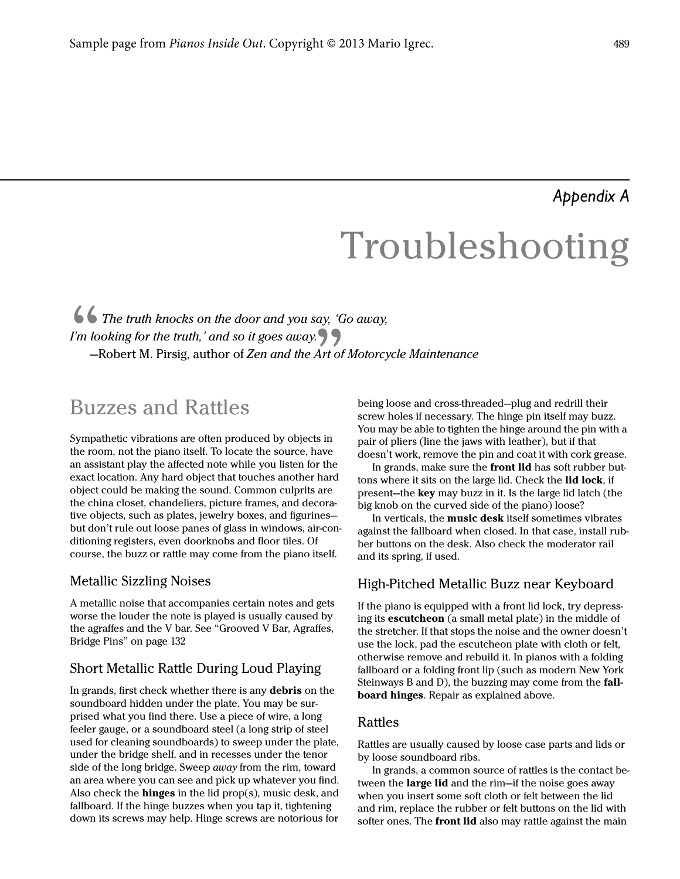## *Appendix A*

# Troubleshooting

### The truth knocks on the door and you say, 'Go away, I'm looking for the truth,' and so it goes away.  $\bigcap$ —Robert M. Pirsig, author of Zen and the Art of Motorcycle Maintenance

# --<br>Buz Buzzes and Rattles

 $\frac{1}{\sin \theta}$ Sympathetic vibrations are often produced by objects in the room, not the piano itself. To locate the source, have an assistant play the affected note while you listen for the exact location. Any hard object that touches another hard object could be making the sound. Common culprits are the china closet, chandeliers, picture frames, and decorative objects, such as plates, jewelry boxes, and figurines but don't rule out loose panes of glass in windows, air-conditioning registers, even doorknobs and floor tiles. Of course, the buzz or rattle may come from the piano itself.

#### Metallic Sizzling Noises

A metallic noise that accompanies certain notes and gets worse the louder the note is played is usually caused by the agraffes and the V bar. See "Grooved V Bar, Agraffes, Bridge Pins" on page 132

#### Short Metallic Rattle During Loud Playing

In grands, first check whether there is any debris on the soundboard hidden under the plate. You may be surprised what you find there. Use a piece of wire, a long feeler gauge, or a soundboard steel (a long strip of steel used for cleaning soundboards) to sweep under the plate, under the bridge shelf, and in recesses under the tenor side of the long bridge. Sweep *away* from the rim, toward an area where you can see and pick up whatever you find. Also check the **hinges** in the lid  $prop(s)$ , music desk, and fallboard. If the hinge buzzes when you tap it, tightening down its screws may help. Hinge screws are notorious for

being loose and cross-threaded—plug and redrill their screw holes if necessary. The hinge pin itself may buzz. You may be able to tighten the hinge around the pin with a pair of pliers (line the jaws with leather), but if that doesn't work, remove the pin and coat it with cork grease.

In grands, make sure the front lid has soft rubber buttons where it sits on the large lid. Check the lid lock, if present—the key may buzz in it. Is the large lid latch (the big knob on the curved side of the piano) loose?

In verticals, the music desk itself sometimes vibrates against the fallboard when closed. In that case, install rubber buttons on the desk. Also check the moderator rail and its spring, if used.

#### High-Pitched Metallic Buzz near Keyboard

If the piano is equipped with a front lid lock, try depressing its escutcheon (a small metal plate) in the middle of the stretcher. If that stops the noise and the owner doesn't use the lock, pad the escutcheon plate with cloth or felt, otherwise remove and rebuild it. In pianos with a folding fallboard or a folding front lip (such as modern New York Steinways B and D), the buzzing may come from the fallboard hinges. Repair as explained above.

#### Rattles

Rattles are usually caused by loose case parts and lids or by loose soundboard ribs.

In grands, a common source of rattles is the contact between the large lid and the rim-if the noise goes away when you insert some soft cloth or felt between the lid and rim, replace the rubber or felt buttons on the lid with softer ones. The front lid also may rattle against the main